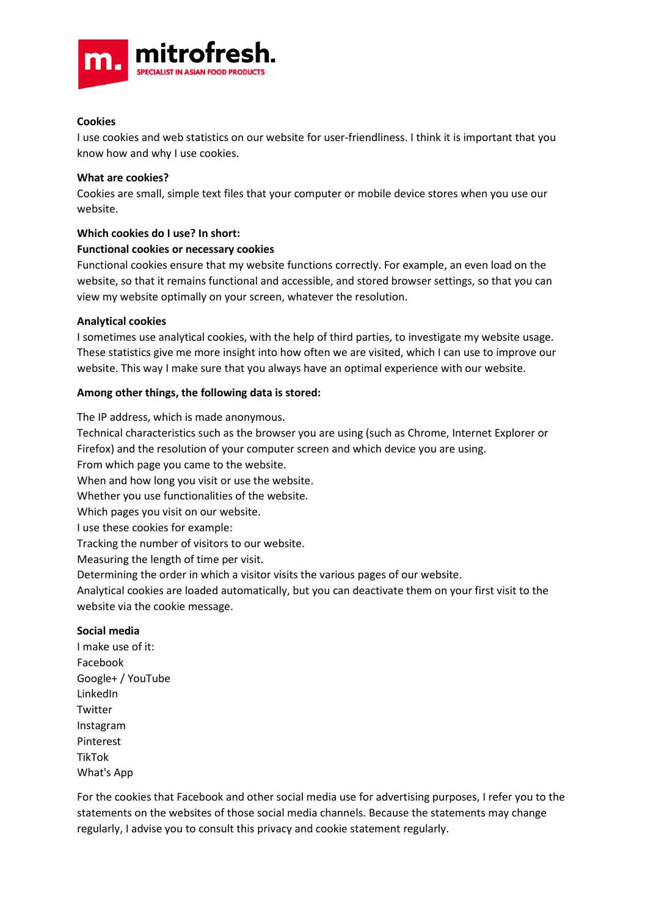

## **Cookies**

I use cookies and web statistics on our website for user-friendliness. I think it is important that you know how and why I use cookies.

### **What are cookies?**

Cookies are small, simple text files that your computer or mobile device stores when you use our website.

## **Which cookies do I use? In short:**

## **Functional cookies or necessary cookies**

Functional cookies ensure that my website functions correctly. For example, an even load on the website, so that it remains functional and accessible, and stored browser settings, so that you can view my website optimally on your screen, whatever the resolution.

## **Analytical cookies**

I sometimes use analytical cookies, with the help of third parties, to investigate my website usage. These statistics give me more insight into how often we are visited, which I can use to improve our website. This way I make sure that you always have an optimal experience with our website.

## **Among other things, the following data is stored:**

The IP address, which is made anonymous.

Technical characteristics such as the browser you are using (such as Chrome, Internet Explorer or Firefox) and the resolution of your computer screen and which device you are using.

From which page you came to the website.

When and how long you visit or use the website.

Whether you use functionalities of the website.

Which pages you visit on our website.

I use these cookies for example:

Tracking the number of visitors to our website.

Measuring the length of time per visit.

Determining the order in which a visitor visits the various pages of our website.

Analytical cookies are loaded automatically, but you can deactivate them on your first visit to the website via the cookie message.

### **Social media**

I make use of it: Facebook Google+ / YouTube LinkedIn Twitter Instagram Pinterest TikTok What's App

For the cookies that Facebook and other social media use for advertising purposes, I refer you to the statements on the websites of those social media channels. Because the statements may change regularly, I advise you to consult this privacy and cookie statement regularly.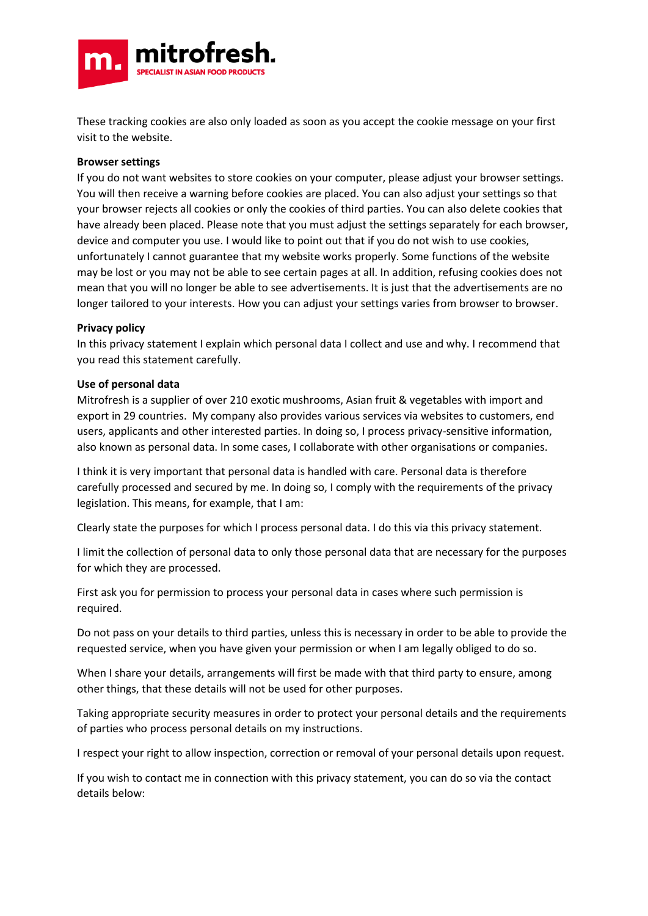

These tracking cookies are also only loaded as soon as you accept the cookie message on your first visit to the website.

### **Browser settings**

If you do not want websites to store cookies on your computer, please adjust your browser settings. You will then receive a warning before cookies are placed. You can also adjust your settings so that your browser rejects all cookies or only the cookies of third parties. You can also delete cookies that have already been placed. Please note that you must adjust the settings separately for each browser, device and computer you use. I would like to point out that if you do not wish to use cookies, unfortunately I cannot guarantee that my website works properly. Some functions of the website may be lost or you may not be able to see certain pages at all. In addition, refusing cookies does not mean that you will no longer be able to see advertisements. It is just that the advertisements are no longer tailored to your interests. How you can adjust your settings varies from browser to browser.

### **Privacy policy**

In this privacy statement I explain which personal data I collect and use and why. I recommend that you read this statement carefully.

### **Use of personal data**

Mitrofresh is a supplier of over 210 exotic mushrooms, Asian fruit & vegetables with import and export in 29 countries. My company also provides various services via websites to customers, end users, applicants and other interested parties. In doing so, I process privacy-sensitive information, also known as personal data. In some cases, I collaborate with other organisations or companies.

I think it is very important that personal data is handled with care. Personal data is therefore carefully processed and secured by me. In doing so, I comply with the requirements of the privacy legislation. This means, for example, that I am:

Clearly state the purposes for which I process personal data. I do this via this privacy statement.

I limit the collection of personal data to only those personal data that are necessary for the purposes for which they are processed.

First ask you for permission to process your personal data in cases where such permission is required.

Do not pass on your details to third parties, unless this is necessary in order to be able to provide the requested service, when you have given your permission or when I am legally obliged to do so.

When I share your details, arrangements will first be made with that third party to ensure, among other things, that these details will not be used for other purposes.

Taking appropriate security measures in order to protect your personal details and the requirements of parties who process personal details on my instructions.

I respect your right to allow inspection, correction or removal of your personal details upon request.

If you wish to contact me in connection with this privacy statement, you can do so via the contact details below: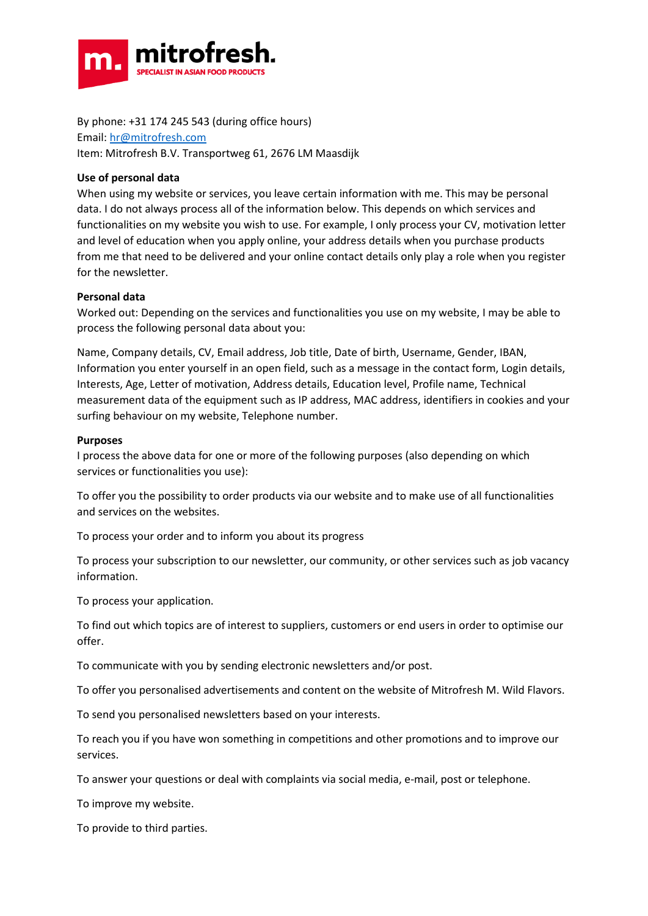

By phone: +31 174 245 543 (during office hours) Email: [hr@mitrofresh.com](mailto:hr@mitrofresh.com)

Item: Mitrofresh B.V. Transportweg 61, 2676 LM Maasdijk

# **Use of personal data**

When using my website or services, you leave certain information with me. This may be personal data. I do not always process all of the information below. This depends on which services and functionalities on my website you wish to use. For example, I only process your CV, motivation letter and level of education when you apply online, your address details when you purchase products from me that need to be delivered and your online contact details only play a role when you register for the newsletter.

## **Personal data**

Worked out: Depending on the services and functionalities you use on my website, I may be able to process the following personal data about you:

Name, Company details, CV, Email address, Job title, Date of birth, Username, Gender, IBAN, Information you enter yourself in an open field, such as a message in the contact form, Login details, Interests, Age, Letter of motivation, Address details, Education level, Profile name, Technical measurement data of the equipment such as IP address, MAC address, identifiers in cookies and your surfing behaviour on my website, Telephone number.

### **Purposes**

I process the above data for one or more of the following purposes (also depending on which services or functionalities you use):

To offer you the possibility to order products via our website and to make use of all functionalities and services on the websites.

To process your order and to inform you about its progress

To process your subscription to our newsletter, our community, or other services such as job vacancy information.

To process your application.

To find out which topics are of interest to suppliers, customers or end users in order to optimise our offer.

To communicate with you by sending electronic newsletters and/or post.

To offer you personalised advertisements and content on the website of Mitrofresh M. Wild Flavors.

To send you personalised newsletters based on your interests.

To reach you if you have won something in competitions and other promotions and to improve our services.

To answer your questions or deal with complaints via social media, e-mail, post or telephone.

To improve my website.

To provide to third parties.